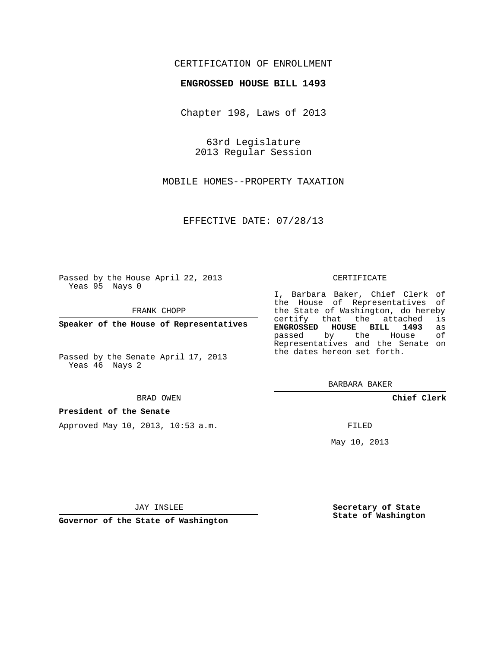## CERTIFICATION OF ENROLLMENT

## **ENGROSSED HOUSE BILL 1493**

Chapter 198, Laws of 2013

63rd Legislature 2013 Regular Session

MOBILE HOMES--PROPERTY TAXATION

EFFECTIVE DATE: 07/28/13

Passed by the House April 22, 2013 Yeas 95 Nays 0

FRANK CHOPP

**Speaker of the House of Representatives**

Passed by the Senate April 17, 2013 Yeas 46 Nays 2

#### BRAD OWEN

## **President of the Senate**

Approved May 10, 2013, 10:53 a.m.

#### CERTIFICATE

I, Barbara Baker, Chief Clerk of the House of Representatives of the State of Washington, do hereby<br>certify that the attached is certify that the attached **ENGROSSED HOUSE BILL 1493** as passed by the House Representatives and the Senate on the dates hereon set forth.

BARBARA BAKER

**Chief Clerk**

FILED

May 10, 2013

**Secretary of State State of Washington**

JAY INSLEE

**Governor of the State of Washington**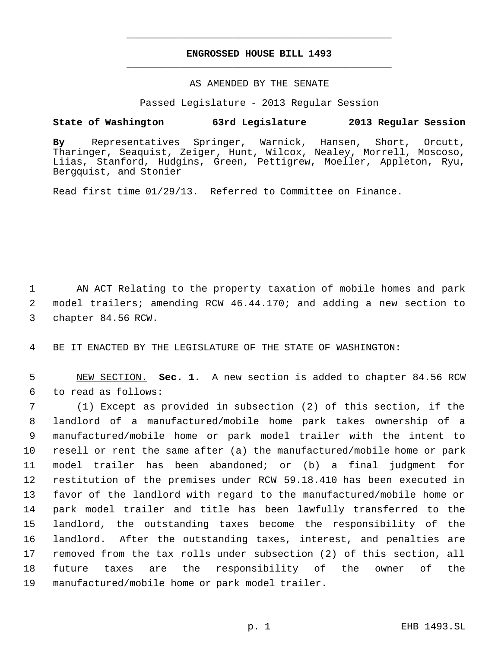# **ENGROSSED HOUSE BILL 1493** \_\_\_\_\_\_\_\_\_\_\_\_\_\_\_\_\_\_\_\_\_\_\_\_\_\_\_\_\_\_\_\_\_\_\_\_\_\_\_\_\_\_\_\_\_

\_\_\_\_\_\_\_\_\_\_\_\_\_\_\_\_\_\_\_\_\_\_\_\_\_\_\_\_\_\_\_\_\_\_\_\_\_\_\_\_\_\_\_\_\_

## AS AMENDED BY THE SENATE

Passed Legislature - 2013 Regular Session

# **State of Washington 63rd Legislature 2013 Regular Session**

**By** Representatives Springer, Warnick, Hansen, Short, Orcutt, Tharinger, Seaquist, Zeiger, Hunt, Wilcox, Nealey, Morrell, Moscoso, Liias, Stanford, Hudgins, Green, Pettigrew, Moeller, Appleton, Ryu, Bergquist, and Stonier

Read first time 01/29/13. Referred to Committee on Finance.

 AN ACT Relating to the property taxation of mobile homes and park model trailers; amending RCW 46.44.170; and adding a new section to chapter 84.56 RCW.

BE IT ENACTED BY THE LEGISLATURE OF THE STATE OF WASHINGTON:

 NEW SECTION. **Sec. 1.** A new section is added to chapter 84.56 RCW to read as follows:

 (1) Except as provided in subsection (2) of this section, if the landlord of a manufactured/mobile home park takes ownership of a manufactured/mobile home or park model trailer with the intent to resell or rent the same after (a) the manufactured/mobile home or park model trailer has been abandoned; or (b) a final judgment for restitution of the premises under RCW 59.18.410 has been executed in favor of the landlord with regard to the manufactured/mobile home or park model trailer and title has been lawfully transferred to the landlord, the outstanding taxes become the responsibility of the landlord. After the outstanding taxes, interest, and penalties are removed from the tax rolls under subsection (2) of this section, all future taxes are the responsibility of the owner of the manufactured/mobile home or park model trailer.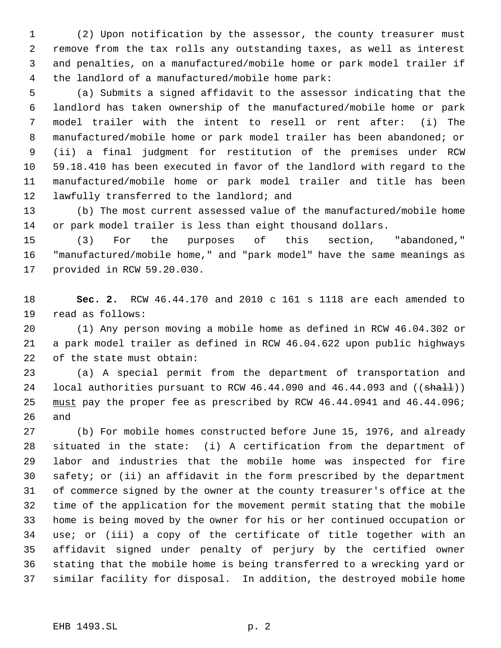(2) Upon notification by the assessor, the county treasurer must remove from the tax rolls any outstanding taxes, as well as interest and penalties, on a manufactured/mobile home or park model trailer if the landlord of a manufactured/mobile home park:

 (a) Submits a signed affidavit to the assessor indicating that the landlord has taken ownership of the manufactured/mobile home or park model trailer with the intent to resell or rent after: (i) The manufactured/mobile home or park model trailer has been abandoned; or (ii) a final judgment for restitution of the premises under RCW 59.18.410 has been executed in favor of the landlord with regard to the manufactured/mobile home or park model trailer and title has been 12 lawfully transferred to the landlord; and

 (b) The most current assessed value of the manufactured/mobile home or park model trailer is less than eight thousand dollars.

 (3) For the purposes of this section, "abandoned," "manufactured/mobile home," and "park model" have the same meanings as provided in RCW 59.20.030.

 **Sec. 2.** RCW 46.44.170 and 2010 c 161 s 1118 are each amended to read as follows:

 (1) Any person moving a mobile home as defined in RCW 46.04.302 or a park model trailer as defined in RCW 46.04.622 upon public highways of the state must obtain:

 (a) A special permit from the department of transportation and 24 local authorities pursuant to RCW  $46.44.090$  and  $46.44.093$  and  $((\text{shall}))$ 25 must pay the proper fee as prescribed by RCW 46.44.0941 and 46.44.096; and

 (b) For mobile homes constructed before June 15, 1976, and already situated in the state: (i) A certification from the department of labor and industries that the mobile home was inspected for fire safety; or (ii) an affidavit in the form prescribed by the department of commerce signed by the owner at the county treasurer's office at the time of the application for the movement permit stating that the mobile home is being moved by the owner for his or her continued occupation or use; or (iii) a copy of the certificate of title together with an affidavit signed under penalty of perjury by the certified owner stating that the mobile home is being transferred to a wrecking yard or similar facility for disposal. In addition, the destroyed mobile home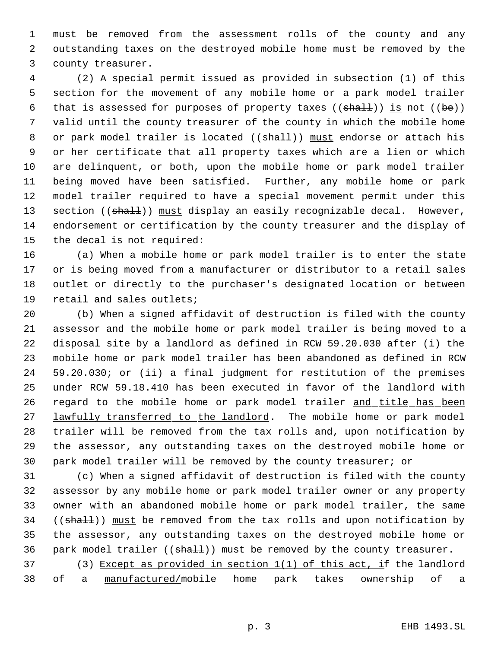must be removed from the assessment rolls of the county and any outstanding taxes on the destroyed mobile home must be removed by the county treasurer.

 (2) A special permit issued as provided in subsection (1) of this section for the movement of any mobile home or a park model trailer 6 that is assessed for purposes of property taxes ( $(\text{shall})$ ) is not ( $(\text{be})$ ) valid until the county treasurer of the county in which the mobile home 8 or park model trailer is located ((shall)) must endorse or attach his or her certificate that all property taxes which are a lien or which are delinquent, or both, upon the mobile home or park model trailer being moved have been satisfied. Further, any mobile home or park model trailer required to have a special movement permit under this 13 section ((shall)) must display an easily recognizable decal. However, endorsement or certification by the county treasurer and the display of the decal is not required:

 (a) When a mobile home or park model trailer is to enter the state or is being moved from a manufacturer or distributor to a retail sales outlet or directly to the purchaser's designated location or between retail and sales outlets;

 (b) When a signed affidavit of destruction is filed with the county assessor and the mobile home or park model trailer is being moved to a disposal site by a landlord as defined in RCW 59.20.030 after (i) the mobile home or park model trailer has been abandoned as defined in RCW 59.20.030; or (ii) a final judgment for restitution of the premises under RCW 59.18.410 has been executed in favor of the landlord with 26 regard to the mobile home or park model trailer and title has been 27 lawfully transferred to the landlord. The mobile home or park model trailer will be removed from the tax rolls and, upon notification by the assessor, any outstanding taxes on the destroyed mobile home or park model trailer will be removed by the county treasurer; or

 (c) When a signed affidavit of destruction is filed with the county assessor by any mobile home or park model trailer owner or any property owner with an abandoned mobile home or park model trailer, the same 34 ((shall)) must be removed from the tax rolls and upon notification by the assessor, any outstanding taxes on the destroyed mobile home or 36 park model trailer  $((sha11))$  must be removed by the county treasurer.

 (3) Except as provided in section 1(1) of this act, if the landlord of a manufactured/mobile home park takes ownership of a